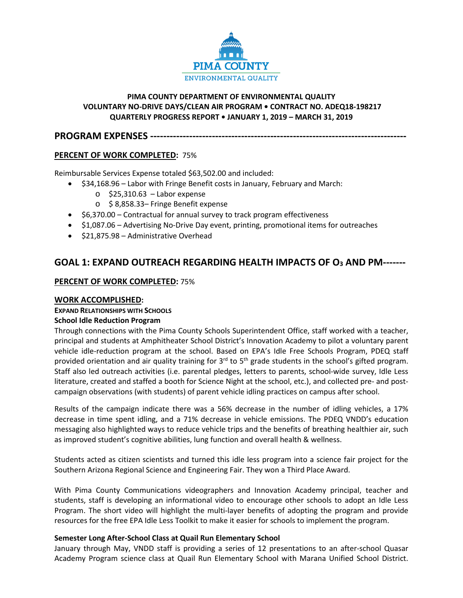

# **PIMA COUNTY DEPARTMENT OF ENVIRONMENTAL QUALITY VOLUNTARY NO-DRIVE DAYS/CLEAN AIR PROGRAM • CONTRACT NO. ADEQ18-198217 QUARTERLY PROGRESS REPORT • JANUARY 1, 2019 – MARCH 31, 2019**

**PROGRAM EXPENSES -----------------------------**

# **PERCENT OF WORK COMPLETED:** 75%

Reimbursable Services Expense totaled \$63,502.00 and included:

- \$34,168.96 Labor with Fringe Benefit costs in January, February and March:
	- o \$25,310.63 Labor expense
	- o \$ 8,858.33– Fringe Benefit expense
- \$6,370.00 Contractual for annual survey to track program effectiveness
- \$1,087.06 Advertising No-Drive Day event, printing, promotional items for outreaches
- \$21,875.98 Administrative Overhead

# **GOAL 1: EXPAND OUTREACH REGARDING HEALTH IMPACTS OF O3 AND PM-------**

### **PERCENT OF WORK COMPLETED:** 75%

### **WORK ACCOMPLISHED:**

# **EXPAND RELATIONSHIPS WITH SCHOOLS**

### **School Idle Reduction Program**

Through connections with the Pima County Schools Superintendent Office, staff worked with a teacher, principal and students at Amphitheater School District's Innovation Academy to pilot a voluntary parent vehicle idle-reduction program at the school. Based on EPA's Idle Free Schools Program, PDEQ staff provided orientation and air quality training for 3<sup>rd</sup> to 5<sup>th</sup> grade students in the school's gifted program. Staff also led outreach activities (i.e. parental pledges, letters to parents, school-wide survey, Idle Less literature, created and staffed a booth for Science Night at the school, etc.), and collected pre- and postcampaign observations (with students) of parent vehicle idling practices on campus after school.

Results of the campaign indicate there was a 56% decrease in the number of idling vehicles, a 17% decrease in time spent idling, and a 71% decrease in vehicle emissions. The PDEQ VNDD's education messaging also highlighted ways to reduce vehicle trips and the benefits of breathing healthier air, such as improved student's cognitive abilities, lung function and overall health & wellness.

Students acted as citizen scientists and turned this idle less program into a science fair project for the Southern Arizona Regional Science and Engineering Fair. They won a Third Place Award.

With Pima County Communications videographers and Innovation Academy principal, teacher and students, staff is developing an informational video to encourage other schools to adopt an Idle Less Program. The short video will highlight the multi-layer benefits of adopting the program and provide resources for the free EPA Idle Less Toolkit to make it easier for schools to implement the program.

### **Semester Long After-School Class at Quail Run Elementary School**

January through May, VNDD staff is providing a series of 12 presentations to an after-school Quasar Academy Program science class at Quail Run Elementary School with Marana Unified School District.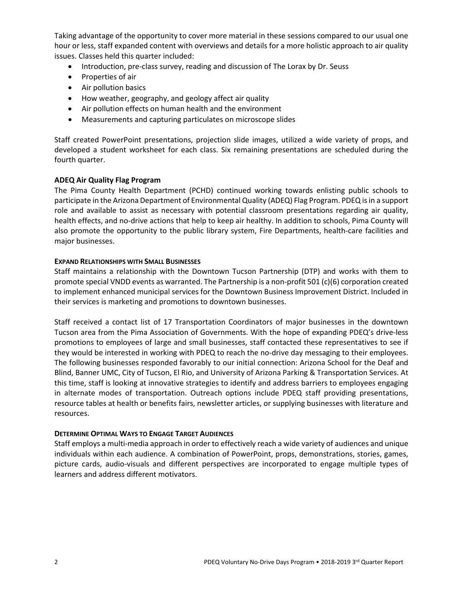Taking advantage of the opportunity to cover more material in these sessions compared to our usual one hour or less, staff expanded content with overviews and details for a more holistic approach to air quality issues. Classes held this quarter included:

- Introduction, pre-class survey, reading and discussion of The Lorax by Dr. Seuss
- Properties of air
- Air pollution basics
- How weather, geography, and geology affect air quality
- Air pollution effects on human health and the environment
- Measurements and capturing particulates on microscope slides

Staff created PowerPoint presentations, projection slide images, utilized a wide variety of props, and developed a student worksheet for each class. Six remaining presentations are scheduled during the fourth quarter.

### **ADEQ Air Quality Flag Program**

The Pima County Health Department (PCHD) continued working towards enlisting public schools to participate in the Arizona Department of Environmental Quality (ADEQ) Flag Program. PDEQ is in a support role and available to assist as necessary with potential classroom presentations regarding air quality, health effects, and no-drive actions that help to keep air healthy. In addition to schools, Pima County will also promote the opportunity to the public library system, Fire Departments, health-care facilities and major businesses.

#### **EXPAND RELATIONSHIPS WITH SMALL BUSINESSES**

Staff maintains a relationship with the Downtown Tucson Partnership (DTP) and works with them to promote special VNDD events as warranted. The Partnership is a non-profit 501 (c)(6) corporation created to implement enhanced municipal services for the Downtown Business Improvement District. Included in their services is marketing and promotions to downtown businesses.

Staff received a contact list of 17 Transportation Coordinators of major businesses in the downtown Tucson area from the Pima Association of Governments. With the hope of expanding PDEQ's drive-less promotions to employees of large and small businesses, staff contacted these representatives to see if they would be interested in working with PDEQ to reach the no-drive day messaging to their employees. The following businesses responded favorably to our initial connection: Arizona School for the Deaf and Blind, Banner UMC, City of Tucson, El Rio, and University of Arizona Parking & Transportation Services. At this time, staff is looking at innovative strategies to identify and address barriers to employees engaging in alternate modes of transportation. Outreach options include PDEQ staff providing presentations, resource tables at health or benefits fairs, newsletter articles, or supplying businesses with literature and resources.

#### **DETERMINE OPTIMAL WAYS TO ENGAGE TARGET AUDIENCES**

Staff employs a multi-media approach in order to effectively reach a wide variety of audiences and unique individuals within each audience. A combination of PowerPoint, props, demonstrations, stories, games, picture cards, audio-visuals and different perspectives are incorporated to engage multiple types of learners and address different motivators.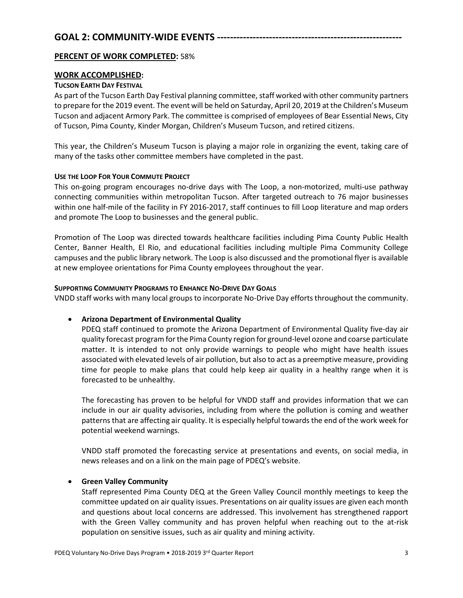# **GOAL 2: COMMUNITY-WIDE EVENTS ---------------------------------------------------------**

### **PERCENT OF WORK COMPLETED:** 58%

# **WORK ACCOMPLISHED:**

### **TUCSON EARTH DAY FESTIVAL**

As part of the Tucson Earth Day Festival planning committee, staff worked with other community partners to prepare for the 2019 event. The event will be held on Saturday, April 20, 2019 at the Children's Museum Tucson and adjacent Armory Park. The committee is comprised of employees of Bear Essential News, City of Tucson, Pima County, Kinder Morgan, Children's Museum Tucson, and retired citizens.

This year, the Children's Museum Tucson is playing a major role in organizing the event, taking care of many of the tasks other committee members have completed in the past.

### **USE THE LOOP FOR YOUR COMMUTE PROJECT**

This on-going program encourages no-drive days with The Loop, a non-motorized, multi-use pathway connecting communities within metropolitan Tucson. After targeted outreach to 76 major businesses within one half-mile of the facility in FY 2016-2017, staff continues to fill Loop literature and map orders and promote The Loop to businesses and the general public.

Promotion of The Loop was directed towards healthcare facilities including Pima County Public Health Center, Banner Health, El Rio, and educational facilities including multiple Pima Community College campuses and the public library network. The Loop is also discussed and the promotional flyer is available at new employee orientations for Pima County employees throughout the year.

### **SUPPORTING COMMUNITY PROGRAMS TO ENHANCE NO-DRIVE DAY GOALS**

VNDD staff works with many local groups to incorporate No-Drive Day efforts throughout the community.

### • **Arizona Department of Environmental Quality**

PDEQ staff continued to promote the Arizona Department of Environmental Quality five-day air quality forecast program for the Pima County region for ground-level ozone and coarse particulate matter. It is intended to not only provide warnings to people who might have health issues associated with elevated levels of air pollution, but also to act as a preemptive measure, providing time for people to make plans that could help keep air quality in a healthy range when it is forecasted to be unhealthy.

The forecasting has proven to be helpful for VNDD staff and provides information that we can include in our air quality advisories, including from where the pollution is coming and weather patterns that are affecting air quality. It is especially helpful towards the end of the work week for potential weekend warnings.

VNDD staff promoted the forecasting service at presentations and events, on social media, in news releases and on a link on the main page of PDEQ's website.

### • **Green Valley Community**

Staff represented Pima County DEQ at the Green Valley Council monthly meetings to keep the committee updated on air quality issues. Presentations on air quality issues are given each month and questions about local concerns are addressed. This involvement has strengthened rapport with the Green Valley community and has proven helpful when reaching out to the at-risk population on sensitive issues, such as air quality and mining activity.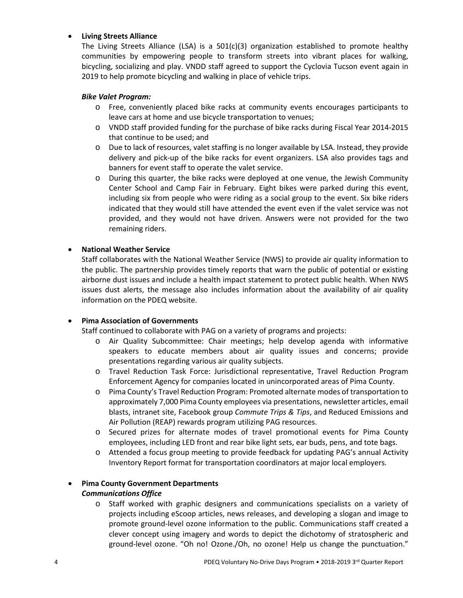# • **Living Streets Alliance**

The Living Streets Alliance (LSA) is a  $501(c)(3)$  organization established to promote healthy communities by empowering people to transform streets into vibrant places for walking, bicycling, socializing and play. VNDD staff agreed to support the Cyclovia Tucson event again in 2019 to help promote bicycling and walking in place of vehicle trips.

### *Bike Valet Program:*

- o Free, conveniently placed bike racks at community events encourages participants to leave cars at home and use bicycle transportation to venues;
- o VNDD staff provided funding for the purchase of bike racks during Fiscal Year 2014-2015 that continue to be used; and
- o Due to lack of resources, valet staffing is no longer available by LSA. Instead, they provide delivery and pick-up of the bike racks for event organizers. LSA also provides tags and banners for event staff to operate the valet service.
- o During this quarter, the bike racks were deployed at one venue, the Jewish Community Center School and Camp Fair in February. Eight bikes were parked during this event, including six from people who were riding as a social group to the event. Six bike riders indicated that they would still have attended the event even if the valet service was not provided, and they would not have driven. Answers were not provided for the two remaining riders.

# • **National Weather Service**

Staff collaborates with the National Weather Service (NWS) to provide air quality information to the public. The partnership provides timely reports that warn the public of potential or existing airborne dust issues and include a health impact statement to protect public health. When NWS issues dust alerts, the message also includes information about the availability of air quality information on the PDEQ website.

### • **Pima Association of Governments**

Staff continued to collaborate with PAG on a variety of programs and projects:

- o Air Quality Subcommittee: Chair meetings; help develop agenda with informative speakers to educate members about air quality issues and concerns; provide presentations regarding various air quality subjects.
- o Travel Reduction Task Force: Jurisdictional representative, Travel Reduction Program Enforcement Agency for companies located in unincorporated areas of Pima County.
- o Pima County's Travel Reduction Program: Promoted alternate modes of transportation to approximately 7,000 Pima County employees via presentations, newsletter articles, email blasts, intranet site, Facebook group *Commute Trips & Tips*, and Reduced Emissions and Air Pollution (REAP) rewards program utilizing PAG resources.
- o Secured prizes for alternate modes of travel promotional events for Pima County employees, including LED front and rear bike light sets, ear buds, pens, and tote bags.
- o Attended a focus group meeting to provide feedback for updating PAG's annual Activity Inventory Report format for transportation coordinators at major local employers.

### • **Pima County Government Departments**  *Communications Office*

o Staff worked with graphic designers and communications specialists on a variety of projects including eScoop articles, news releases, and developing a slogan and image to promote ground-level ozone information to the public. Communications staff created a clever concept using imagery and words to depict the dichotomy of stratospheric and ground-level ozone. "Oh no! Ozone./Oh, no ozone! Help us change the punctuation."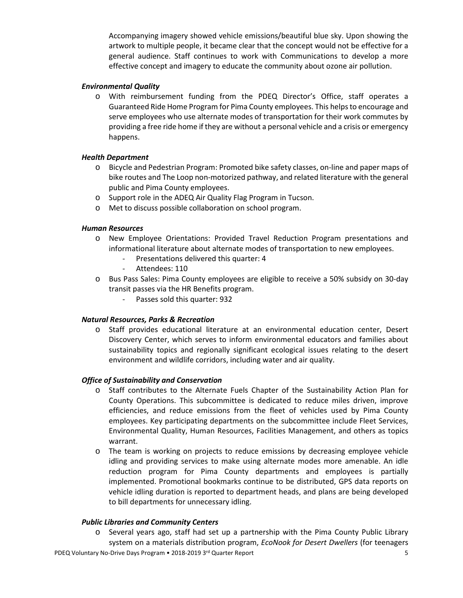Accompanying imagery showed vehicle emissions/beautiful blue sky. Upon showing the artwork to multiple people, it became clear that the concept would not be effective for a general audience. Staff continues to work with Communications to develop a more effective concept and imagery to educate the community about ozone air pollution.

#### *Environmental Quality*

o With reimbursement funding from the PDEQ Director's Office, staff operates a Guaranteed Ride Home Program for Pima County employees. This helps to encourage and serve employees who use alternate modes of transportation for their work commutes by providing a free ride home if they are without a personal vehicle and a crisis or emergency happens.

#### *Health Department*

- o Bicycle and Pedestrian Program: Promoted bike safety classes, on-line and paper maps of bike routes and The Loop non-motorized pathway, and related literature with the general public and Pima County employees.
- o Support role in the ADEQ Air Quality Flag Program in Tucson.
- o Met to discuss possible collaboration on school program.

#### *Human Resources*

- o New Employee Orientations: Provided Travel Reduction Program presentations and informational literature about alternate modes of transportation to new employees.
	- Presentations delivered this quarter: 4
	- Attendees: 110
- o Bus Pass Sales: Pima County employees are eligible to receive a 50% subsidy on 30-day transit passes via the HR Benefits program.
	- Passes sold this quarter: 932

#### *Natural Resources, Parks & Recreation*

o Staff provides educational literature at an environmental education center, Desert Discovery Center, which serves to inform environmental educators and families about sustainability topics and regionally significant ecological issues relating to the desert environment and wildlife corridors, including water and air quality.

#### *Office of Sustainability and Conservation*

- o Staff contributes to the Alternate Fuels Chapter of the Sustainability Action Plan for County Operations. This subcommittee is dedicated to reduce miles driven, improve efficiencies, and reduce emissions from the fleet of vehicles used by Pima County employees. Key participating departments on the subcommittee include Fleet Services, Environmental Quality, Human Resources, Facilities Management, and others as topics warrant.
- o The team is working on projects to reduce emissions by decreasing employee vehicle idling and providing services to make using alternate modes more amenable. An idle reduction program for Pima County departments and employees is partially implemented. Promotional bookmarks continue to be distributed, GPS data reports on vehicle idling duration is reported to department heads, and plans are being developed to bill departments for unnecessary idling.

#### *Public Libraries and Community Centers*

o Several years ago, staff had set up a partnership with the Pima County Public Library system on a materials distribution program, *EcoNook for Desert Dwellers* (for teenagers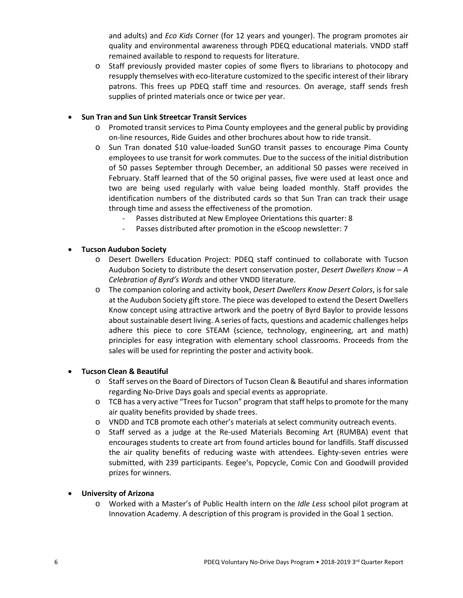and adults) and *Eco Kids* Corner (for 12 years and younger). The program promotes air quality and environmental awareness through PDEQ educational materials. VNDD staff remained available to respond to requests for literature.

o Staff previously provided master copies of some flyers to librarians to photocopy and resupply themselves with eco-literature customized to the specific interest of their library patrons. This frees up PDEQ staff time and resources. On average, staff sends fresh supplies of printed materials once or twice per year.

### • **Sun Tran and Sun Link Streetcar Transit Services**

- o Promoted transit services to Pima County employees and the general public by providing on-line resources, Ride Guides and other brochures about how to ride transit.
- o Sun Tran donated \$10 value-loaded SunGO transit passes to encourage Pima County employees to use transit for work commutes. Due to the success of the initial distribution of 50 passes September through December, an additional 50 passes were received in February. Staff learned that of the 50 original passes, five were used at least once and two are being used regularly with value being loaded monthly. Staff provides the identification numbers of the distributed cards so that Sun Tran can track their usage through time and assess the effectiveness of the promotion.
	- Passes distributed at New Employee Orientations this quarter: 8
	- Passes distributed after promotion in the eScoop newsletter: 7

# • **Tucson Audubon Society**

- o Desert Dwellers Education Project: PDEQ staff continued to collaborate with Tucson Audubon Society to distribute the desert conservation poster, *Desert Dwellers Know – A Celebration of Byrd's Words* and other VNDD literature.
- o The companion coloring and activity book, *Desert Dwellers Know Desert Colors*, is for sale at the Audubon Society gift store. The piece was developed to extend the Desert Dwellers Know concept using attractive artwork and the poetry of Byrd Baylor to provide lessons about sustainable desert living. A series of facts, questions and academic challenges helps adhere this piece to core STEAM (science, technology, engineering, art and math) principles for easy integration with elementary school classrooms. Proceeds from the sales will be used for reprinting the poster and activity book.

### • **Tucson Clean & Beautiful**

- o Staff serves on the Board of Directors of Tucson Clean & Beautiful and shares information regarding No-Drive Days goals and special events as appropriate.
- o TCB has a very active "Trees for Tucson" program that staff helps to promote for the many air quality benefits provided by shade trees.
- o VNDD and TCB promote each other's materials at select community outreach events.
- o Staff served as a judge at the Re-used Materials Becoming Art (RUMBA) event that encourages students to create art from found articles bound for landfills. Staff discussed the air quality benefits of reducing waste with attendees. Eighty-seven entries were submitted, with 239 participants. Eegee's, Popcycle, Comic Con and Goodwill provided prizes for winners.

### • **University of Arizona**

o Worked with a Master's of Public Health intern on the *Idle Less* school pilot program at Innovation Academy. A description of this program is provided in the Goal 1 section.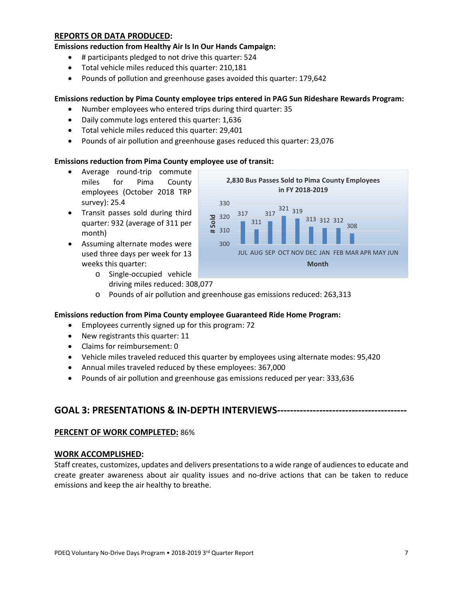### **REPORTS OR DATA PRODUCED:**

**Emissions reduction from Healthy Air Is In Our Hands Campaign:**

- # participants pledged to not drive this quarter: 524
- Total vehicle miles reduced this quarter: 210,181
- Pounds of pollution and greenhouse gases avoided this quarter: 179,642

#### **Emissions reduction by Pima County employee trips entered in PAG Sun Rideshare Rewards Program:**

317

320 330

- Number employees who entered trips during third quarter: 35
- Daily commute logs entered this quarter: 1,636
- Total vehicle miles reduced this quarter: 29,401
- Pounds of air pollution and greenhouse gases reduced this quarter: 23,076

#### **Emissions reduction from Pima County employee use of transit:**

- Average round-trip commute miles for Pima County employees (October 2018 TRP survey): 25.4
- Transit passes sold during third quarter: 932 (average of 311 per month)
- Assuming alternate modes were used three days per week for 13 weeks this quarter:
	- o Single-occupied vehicle driving miles reduced: 308,077



321 319

**2,830 Bus Passes Sold to Pima County Employees in FY 2018-2019**

317

o Pounds of air pollution and greenhouse gas emissions reduced: 263,313

#### **Emissions reduction from Pima County employee Guaranteed Ride Home Program:**

- Employees currently signed up for this program: 72
- New registrants this quarter: 11
- Claims for reimbursement: 0
- Vehicle miles traveled reduced this quarter by employees using alternate modes: 95,420
- Annual miles traveled reduced by these employees: 367,000
- Pounds of air pollution and greenhouse gas emissions reduced per year: 333,636

# **GOAL 3: PRESENTATIONS & IN-DEPTH INTERVIEWS----------------------------------------**

#### **PERCENT OF WORK COMPLETED:** 86%

#### **WORK ACCOMPLISHED:**

Staff creates, customizes, updates and delivers presentations to a wide range of audiences to educate and create greater awareness about air quality issues and no-drive actions that can be taken to reduce emissions and keep the air healthy to breathe.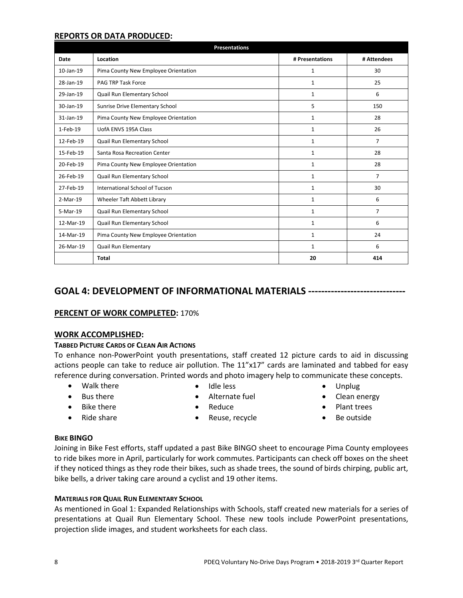### **REPORTS OR DATA PRODUCED:**

| <b>Presentations</b> |                                      |                 |                |  |  |
|----------------------|--------------------------------------|-----------------|----------------|--|--|
| Date                 | Location                             | # Presentations | # Attendees    |  |  |
| 10-Jan-19            | Pima County New Employee Orientation | 1               | 30             |  |  |
| 28-Jan-19            | <b>PAG TRP Task Force</b>            | $\mathbf{1}$    | 25             |  |  |
| 29-Jan-19            | Quail Run Elementary School          | $\mathbf{1}$    | 6              |  |  |
| 30-Jan-19            | Sunrise Drive Elementary School      | 5               | 150            |  |  |
| $31$ -Jan-19         | Pima County New Employee Orientation | $\mathbf{1}$    | 28             |  |  |
| 1-Feb-19             | UofA ENVS 195A Class                 | $\mathbf{1}$    | 26             |  |  |
| 12-Feb-19            | Quail Run Elementary School          | $\mathbf{1}$    | 7              |  |  |
| 15-Feb-19            | Santa Rosa Recreation Center         | $\mathbf{1}$    | 28             |  |  |
| 20-Feb-19            | Pima County New Employee Orientation | $\mathbf{1}$    | 28             |  |  |
| 26-Feb-19            | Quail Run Elementary School          | $\mathbf{1}$    | $\overline{7}$ |  |  |
| 27-Feb-19            | International School of Tucson       | $\mathbf{1}$    | 30             |  |  |
| $2-Mar-19$           | Wheeler Taft Abbett Library          | $\mathbf{1}$    | 6              |  |  |
| 5-Mar-19             | Quail Run Elementary School          | $\mathbf{1}$    | $\overline{7}$ |  |  |
| 12-Mar-19            | Quail Run Elementary School          | $\mathbf{1}$    | 6              |  |  |
| 14-Mar-19            | Pima County New Employee Orientation | $\mathbf{1}$    | 24             |  |  |
| 26-Mar-19            | Quail Run Elementary                 | $\mathbf{1}$    | 6              |  |  |
|                      | <b>Total</b>                         | 20              | 414            |  |  |

# **GOAL 4: DEVELOPMENT OF INFORMATIONAL MATERIALS ------------------------------**

### **PERCENT OF WORK COMPLETED:** 170%

### **WORK ACCOMPLISHED:**

#### **TABBED PICTURE CARDS OF CLEAN AIR ACTIONS**

To enhance non-PowerPoint youth presentations, staff created 12 picture cards to aid in discussing actions people can take to reduce air pollution. The 11"x17" cards are laminated and tabbed for easy reference during conversation. Printed words and photo imagery help to communicate these concepts.

• Walk there

• Idle less

• Bus there • Bike there

• Ride share

- Alternate fuel
- Reduce

• Reuse, recycle

- Unplug
- Clean energy
- Plant trees • Be outside

**BIKE BINGO**

Joining in Bike Fest efforts, staff updated a past Bike BINGO sheet to encourage Pima County employees to ride bikes more in April, particularly for work commutes. Participants can check off boxes on the sheet if they noticed things as they rode their bikes, such as shade trees, the sound of birds chirping, public art, bike bells, a driver taking care around a cyclist and 19 other items.

### **MATERIALS FOR QUAIL RUN ELEMENTARY SCHOOL**

As mentioned in Goal 1: Expanded Relationships with Schools, staff created new materials for a series of presentations at Quail Run Elementary School. These new tools include PowerPoint presentations, projection slide images, and student worksheets for each class.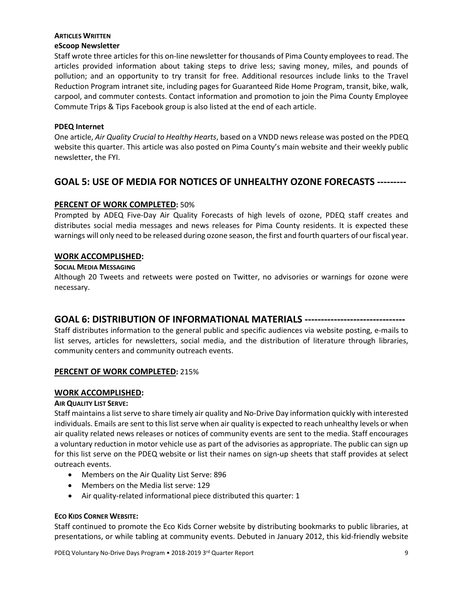# **ARTICLES WRITTEN**

### **eScoop Newsletter**

Staff wrote three articles for this on-line newsletter for thousands of Pima County employees to read. The articles provided information about taking steps to drive less; saving money, miles, and pounds of pollution; and an opportunity to try transit for free. Additional resources include links to the Travel Reduction Program intranet site, including pages for Guaranteed Ride Home Program, transit, bike, walk, carpool, and commuter contests. Contact information and promotion to join the Pima County Employee Commute Trips & Tips Facebook group is also listed at the end of each article.

#### **PDEQ Internet**

One article, *Air Quality Crucial to Healthy Hearts*, based on a VNDD news release was posted on the PDEQ website this quarter. This article was also posted on Pima County's main website and their weekly public newsletter, the FYI.

# **GOAL 5: USE OF MEDIA FOR NOTICES OF UNHEALTHY OZONE FORECASTS ---------**

# **PERCENT OF WORK COMPLETED:** 50%

Prompted by ADEQ Five-Day Air Quality Forecasts of high levels of ozone, PDEQ staff creates and distributes social media messages and news releases for Pima County residents. It is expected these warnings will only need to be released during ozone season, the first and fourth quarters of our fiscal year.

### **WORK ACCOMPLISHED:**

#### **SOCIAL MEDIA MESSAGING**

Although 20 Tweets and retweets were posted on Twitter, no advisories or warnings for ozone were necessary.

# **GOAL 6: DISTRIBUTION OF INFORMATIONAL MATERIALS -------------------------------**

Staff distributes information to the general public and specific audiences via website posting, e-mails to list serves, articles for newsletters, social media, and the distribution of literature through libraries, community centers and community outreach events.

### **PERCENT OF WORK COMPLETED:** 215%

### **WORK ACCOMPLISHED:**

### **AIR QUALITY LIST SERVE:**

Staff maintains a list serve to share timely air quality and No-Drive Day information quickly with interested individuals. Emails are sent to this list serve when air quality is expected to reach unhealthy levels or when air quality related news releases or notices of community events are sent to the media. Staff encourages a voluntary reduction in motor vehicle use as part of the advisories as appropriate. The public can sign up for this list serve on the PDEQ website or list their names on sign-up sheets that staff provides at select outreach events.

- Members on the Air Quality List Serve: 896
- Members on the Media list serve: 129
- Air quality-related informational piece distributed this quarter: 1

#### **ECO KIDS CORNER WEBSITE:**

Staff continued to promote the Eco Kids Corner website by distributing bookmarks to public libraries, at presentations, or while tabling at community events. Debuted in January 2012, this kid-friendly website

PDEQ Voluntary No-Drive Days Program • 2018-2019 3<sup>rd</sup> Quarter Report 99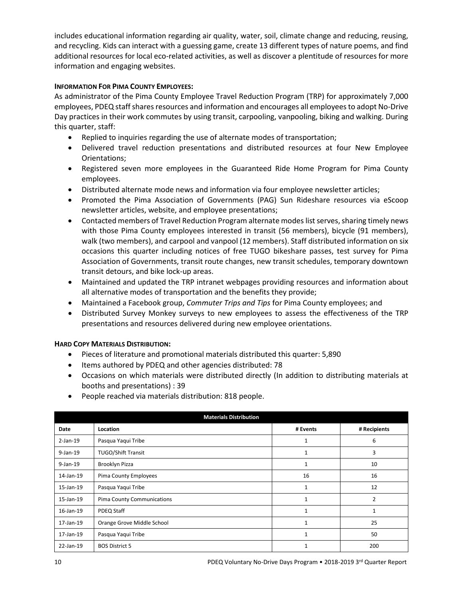includes educational information regarding air quality, water, soil, climate change and reducing, reusing, and recycling. Kids can interact with a guessing game, create 13 different types of nature poems, and find additional resources for local eco-related activities, as well as discover a plentitude of resources for more information and engaging websites.

### **INFORMATION FOR PIMA COUNTY EMPLOYEES:**

As administrator of the Pima County Employee Travel Reduction Program (TRP) for approximately 7,000 employees, PDEQ staffshares resources and information and encourages all employees to adopt No-Drive Day practices in their work commutes by using transit, carpooling, vanpooling, biking and walking. During this quarter, staff:

- Replied to inquiries regarding the use of alternate modes of transportation;
- Delivered travel reduction presentations and distributed resources at four New Employee Orientations;
- Registered seven more employees in the Guaranteed Ride Home Program for Pima County employees.
- Distributed alternate mode news and information via four employee newsletter articles;
- Promoted the Pima Association of Governments (PAG) Sun Rideshare resources via eScoop newsletter articles, website, and employee presentations;
- Contacted members of Travel Reduction Program alternate modes list serves, sharing timely news with those Pima County employees interested in transit (56 members), bicycle (91 members), walk (two members), and carpool and vanpool (12 members). Staff distributed information on six occasions this quarter including notices of free TUGO bikeshare passes, test survey for Pima Association of Governments, transit route changes, new transit schedules, temporary downtown transit detours, and bike lock-up areas.
- Maintained and updated the TRP intranet webpages providing resources and information about all alternative modes of transportation and the benefits they provide;
- Maintained a Facebook group, *Commuter Trips and Tips* for Pima County employees; and
- Distributed Survey Monkey surveys to new employees to assess the effectiveness of the TRP presentations and resources delivered during new employee orientations.

### **HARD COPY MATERIALS DISTRIBUTION:**

- Pieces of literature and promotional materials distributed this quarter: 5,890
- Items authored by PDEQ and other agencies distributed: 78
- Occasions on which materials were distributed directly (In addition to distributing materials at booths and presentations) : 39
- People reached via materials distribution: 818 people.

| <b>Materials Distribution</b> |                            |              |                |  |  |
|-------------------------------|----------------------------|--------------|----------------|--|--|
| Date                          | Location                   | # Events     | # Recipients   |  |  |
| $2$ -Jan-19                   | Pasqua Yaqui Tribe         | 1            | 6              |  |  |
| $9$ -Jan-19                   | <b>TUGO/Shift Transit</b>  | 1            | 3              |  |  |
| $9$ -Jan-19                   | Brooklyn Pizza             | 1            | 10             |  |  |
| 14-Jan-19                     | Pima County Employees      | 16           | 16             |  |  |
| 15-Jan-19                     | Pasqua Yaqui Tribe         | 1            | 12             |  |  |
| 15-Jan-19                     | Pima County Communications | 1            | $\overline{2}$ |  |  |
| 16-Jan-19                     | PDEQ Staff                 | 1            | 1              |  |  |
| 17-Jan-19                     | Orange Grove Middle School | $\mathbf{1}$ | 25             |  |  |
| 17-Jan-19                     | Pasqua Yaqui Tribe         | 1            | 50             |  |  |
| 22-Jan-19                     | <b>BOS District 5</b>      |              | 200            |  |  |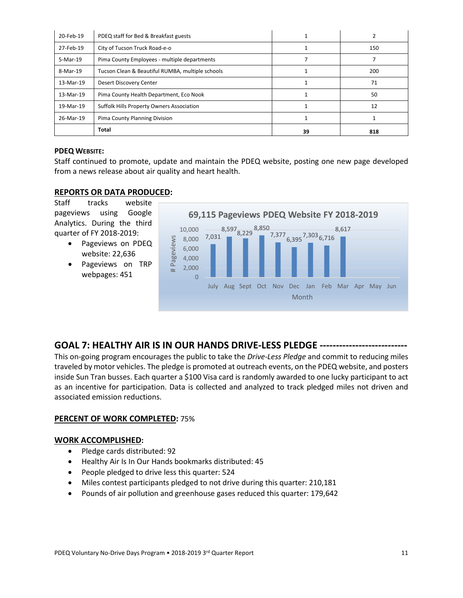| 20-Feb-19 | PDEQ staff for Bed & Breakfast guests            |    |     |
|-----------|--------------------------------------------------|----|-----|
| 27-Feb-19 | City of Tucson Truck Road-e-o                    |    | 150 |
| 5-Mar-19  | Pima County Employees - multiple departments     |    |     |
| 8-Mar-19  | Tucson Clean & Beautiful RUMBA, multiple schools |    | 200 |
| 13-Mar-19 | Desert Discovery Center                          |    | 71  |
| 13-Mar-19 | Pima County Health Department, Eco Nook          |    | 50  |
| 19-Mar-19 | <b>Suffolk Hills Property Owners Association</b> |    | 12  |
| 26-Mar-19 | Pima County Planning Division                    |    |     |
|           | <b>Total</b>                                     | 39 | 818 |

### **PDEQ WEBSITE:**

Staff continued to promote, update and maintain the PDEQ website, posting one new page developed from a news release about air quality and heart health.

# **REPORTS OR DATA PRODUCED:**

Staff tracks website pageviews using Google Analytics. During the third quarter of FY 2018-2019:

- Pageviews on PDEQ website: 22,636
- Pageviews on TRP webpages: 451



# **GOAL 7: HEALTHY AIR IS IN OUR HANDS DRIVE-LESS PLEDGE ---------------------------**

This on-going program encourages the public to take the *Drive-Less Pledge* and commit to reducing miles traveled by motor vehicles. The pledge is promoted at outreach events, on the PDEQ website, and posters inside Sun Tran busses. Each quarter a \$100 Visa card is randomly awarded to one lucky participant to act as an incentive for participation. Data is collected and analyzed to track pledged miles not driven and associated emission reductions.

# **PERCENT OF WORK COMPLETED:** 75%

### **WORK ACCOMPLISHED:**

- Pledge cards distributed: 92
- Healthy Air Is In Our Hands bookmarks distributed: 45
- People pledged to drive less this quarter: 524
- Miles contest participants pledged to not drive during this quarter: 210,181
- Pounds of air pollution and greenhouse gases reduced this quarter: 179,642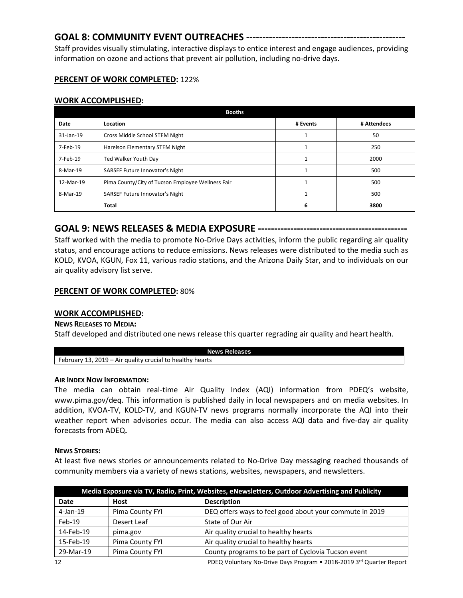# **GOAL 8: COMMUNITY EVENT OUTREACHES -------------------------------------------------**

Staff provides visually stimulating, interactive displays to entice interest and engage audiences, providing information on ozone and actions that prevent air pollution, including no-drive days.

# **PERCENT OF WORK COMPLETED:** 122%

# **WORK ACCOMPLISHED:**

| <b>Booths</b> |                                                   |          |             |  |  |
|---------------|---------------------------------------------------|----------|-------------|--|--|
| Date          | Location                                          | # Events | # Attendees |  |  |
| $31$ -Jan-19  | Cross Middle School STEM Night                    |          | 50          |  |  |
| 7-Feb-19      | Harelson Elementary STEM Night                    |          | 250         |  |  |
| 7-Feb-19      | Ted Walker Youth Day                              |          | 2000        |  |  |
| 8-Mar-19      | SARSEF Future Innovator's Night                   |          | 500         |  |  |
| 12-Mar-19     | Pima County/City of Tucson Employee Wellness Fair |          | 500         |  |  |
| 8-Mar-19      | SARSEF Future Innovator's Night                   |          | 500         |  |  |
|               | <b>Total</b>                                      | 6        | 3800        |  |  |

**GOAL 9: NEWS RELEASES & MEDIA EXPOSURE ----------------------------------------------**

Staff worked with the media to promote No-Drive Days activities, inform the public regarding air quality status, and encourage actions to reduce emissions. News releases were distributed to the media such as KOLD, KVOA, KGUN, Fox 11, various radio stations, and the Arizona Daily Star, and to individuals on our air quality advisory list serve.

# **PERCENT OF WORK COMPLETED:** 80%

# **WORK ACCOMPLISHED:**

### **NEWS RELEASES TO MEDIA:**

Staff developed and distributed one news release this quarter regrading air quality and heart health.

| News<br>ises                                                                                                                      |  |  |  |
|-----------------------------------------------------------------------------------------------------------------------------------|--|--|--|
| -<br>n,<br>t٥<br>healthy<br>hearts<br>$\sim$<br>(11017)<br>pruarv<br><b>CULC</b><br>.<br><br>.ia:<br>ப<br>-<br>$\mathbf{v}$<br>¬⊪ |  |  |  |

### **AIR INDEX NOW INFORMATION:**

The media can obtain real-time Air Quality Index (AQI) information from PDEQ's website, [www.pima.gov/deq.](http://www.pima.gov/deq) This information is published daily in local newspapers and on media websites. In addition, KVOA-TV, KOLD-TV, and KGUN-TV news programs normally incorporate the AQI into their weather report when advisories occur. The media can also access AQI data and five-day air quality forecasts from ADEQ**.**

### **NEWS STORIES:**

At least five news stories or announcements related to No-Drive Day messaging reached thousands of community members via a variety of news stations, websites, newspapers, and newsletters.

| Media Exposure via TV, Radio, Print, Websites, eNewsletters, Outdoor Advertising and Publicity |                 |                                                         |  |
|------------------------------------------------------------------------------------------------|-----------------|---------------------------------------------------------|--|
| Date                                                                                           | <b>Host</b>     | <b>Description</b>                                      |  |
| $4$ -Jan-19                                                                                    | Pima County FYI | DEQ offers ways to feel good about your commute in 2019 |  |
| $Feb-19$                                                                                       | Desert Leaf     | State of Our Air                                        |  |
| 14-Feb-19                                                                                      | pima.gov        | Air quality crucial to healthy hearts                   |  |
| 15-Feb-19                                                                                      | Pima County FYI | Air quality crucial to healthy hearts                   |  |
| 29-Mar-19                                                                                      | Pima County FYI | County programs to be part of Cyclovia Tucson event     |  |
|                                                                                                |                 |                                                         |  |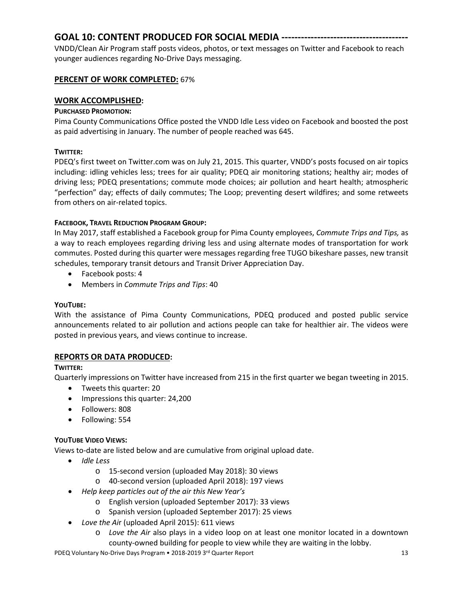# **GOAL 10: CONTENT PRODUCED FOR SOCIAL MEDIA ---------------------------------------**

VNDD/Clean Air Program staff posts videos, photos, or text messages on Twitter and Facebook to reach younger audiences regarding No-Drive Days messaging.

# **PERCENT OF WORK COMPLETED:** 67%

# **WORK ACCOMPLISHED:**

### **PURCHASED PROMOTION:**

Pima County Communications Office posted the VNDD Idle Less video on Facebook and boosted the post as paid advertising in January. The number of people reached was 645.

# **TWITTER:**

PDEQ's first tweet on Twitter.com was on July 21, 2015. This quarter, VNDD's posts focused on air topics including: idling vehicles less; trees for air quality; PDEQ air monitoring stations; healthy air; modes of driving less; PDEQ presentations; commute mode choices; air pollution and heart health; atmospheric "perfection" day; effects of daily commutes; The Loop; preventing desert wildfires; and some retweets from others on air-related topics.

# **FACEBOOK, TRAVEL REDUCTION PROGRAM GROUP:**

In May 2017, staff established a Facebook group for Pima County employees, *Commute Trips and Tips,* as a way to reach employees regarding driving less and using alternate modes of transportation for work commutes. Posted during this quarter were messages regarding free TUGO bikeshare passes, new transit schedules, temporary transit detours and Transit Driver Appreciation Day.

- Facebook posts: 4
- Members in *Commute Trips and Tips*: 40

### **YOUTUBE:**

With the assistance of Pima County Communications, PDEQ produced and posted public service announcements related to air pollution and actions people can take for healthier air. The videos were posted in previous years, and views continue to increase.

# **REPORTS OR DATA PRODUCED:**

### **TWITTER:**

Quarterly impressions on Twitter have increased from 215 in the first quarter we began tweeting in 2015.

- Tweets this quarter: 20
- Impressions this quarter: 24,200
- Followers: 808
- Following: 554

### **YOUTUBE VIDEO VIEWS:**

Views to-date are listed below and are cumulative from original upload date.

- *Idle Less*
	- o 15-second version (uploaded May 2018): 30 views
	- o 40-second version (uploaded April 2018): 197 views
- *Help keep particles out of the air this New Year's* 
	- o English version (uploaded September 2017): 33 views
	- o Spanish version (uploaded September 2017): 25 views
- *Love the Ai*r (uploaded April 2015): 611 views
	- o *Love the Air* also plays in a video loop on at least one monitor located in a downtown county-owned building for people to view while they are waiting in the lobby.

PDEQ Voluntary No-Drive Days Program • 2018-2019 3<sup>rd</sup> Quarter Report 13 and 13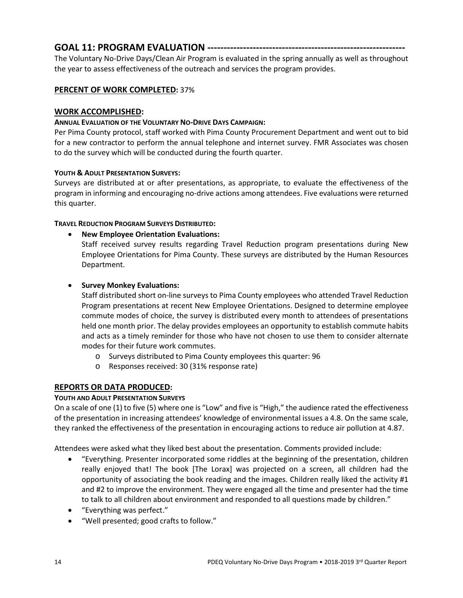# **GOAL 11: PROGRAM EVALUATION -------------------------------------------------------------**

The Voluntary No-Drive Days/Clean Air Program is evaluated in the spring annually as well as throughout the year to assess effectiveness of the outreach and services the program provides.

# **PERCENT OF WORK COMPLETED:** 37%

# **WORK ACCOMPLISHED:**

### **ANNUAL EVALUATION OF THE VOLUNTARY NO-DRIVE DAYS CAMPAIGN:**

Per Pima County protocol, staff worked with Pima County Procurement Department and went out to bid for a new contractor to perform the annual telephone and internet survey. FMR Associates was chosen to do the survey which will be conducted during the fourth quarter.

### **YOUTH & ADULT PRESENTATION SURVEYS:**

Surveys are distributed at or after presentations, as appropriate, to evaluate the effectiveness of the program in informing and encouraging no-drive actions among attendees. Five evaluations were returned this quarter.

### **TRAVEL REDUCTION PROGRAM SURVEYS DISTRIBUTED:**

• **New Employee Orientation Evaluations:**

Staff received survey results regarding Travel Reduction program presentations during New Employee Orientations for Pima County. These surveys are distributed by the Human Resources Department.

### • **Survey Monkey Evaluations:**

Staff distributed short on-line surveys to Pima County employees who attended Travel Reduction Program presentations at recent New Employee Orientations. Designed to determine employee commute modes of choice, the survey is distributed every month to attendees of presentations held one month prior. The delay provides employees an opportunity to establish commute habits and acts as a timely reminder for those who have not chosen to use them to consider alternate modes for their future work commutes.

- o Surveys distributed to Pima County employees this quarter: 96
- o Responses received: 30 (31% response rate)

### **REPORTS OR DATA PRODUCED:**

### **YOUTH AND ADULT PRESENTATION SURVEYS**

On a scale of one (1) to five (5) where one is "Low" and five is "High," the audience rated the effectiveness of the presentation in increasing attendees' knowledge of environmental issues a 4.8. On the same scale, they ranked the effectiveness of the presentation in encouraging actions to reduce air pollution at 4.87.

Attendees were asked what they liked best about the presentation. Comments provided include:

- "Everything. Presenter incorporated some riddles at the beginning of the presentation, children really enjoyed that! The book [The Lorax] was projected on a screen, all children had the opportunity of associating the book reading and the images. Children really liked the activity #1 and #2 to improve the environment. They were engaged all the time and presenter had the time to talk to all children about environment and responded to all questions made by children."
- "Everything was perfect."
- "Well presented; good crafts to follow."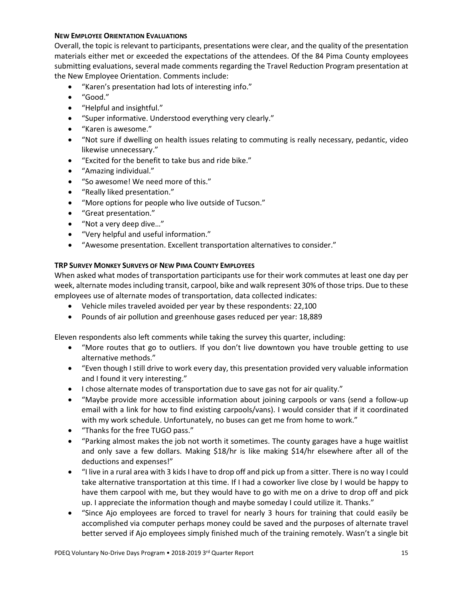### **NEW EMPLOYEE ORIENTATION EVALUATIONS**

Overall, the topic is relevant to participants, presentations were clear, and the quality of the presentation materials either met or exceeded the expectations of the attendees. Of the 84 Pima County employees submitting evaluations, several made comments regarding the Travel Reduction Program presentation at the New Employee Orientation. Comments include:

- "Karen's presentation had lots of interesting info."
- "Good."
- "Helpful and insightful."
- "Super informative. Understood everything very clearly."
- "Karen is awesome."
- "Not sure if dwelling on health issues relating to commuting is really necessary, pedantic, video likewise unnecessary."
- "Excited for the benefit to take bus and ride bike."
- "Amazing individual."
- "So awesome! We need more of this."
- "Really liked presentation."
- "More options for people who live outside of Tucson."
- "Great presentation."
- "Not a very deep dive…"
- "Very helpful and useful information."
- "Awesome presentation. Excellent transportation alternatives to consider."

#### **TRP SURVEY MONKEY SURVEYS OF NEW PIMA COUNTY EMPLOYEES**

When asked what modes of transportation participants use for their work commutes at least one day per week, alternate modes including transit, carpool, bike and walk represent 30% of those trips. Due to these employees use of alternate modes of transportation, data collected indicates:

- Vehicle miles traveled avoided per year by these respondents: 22,100
- Pounds of air pollution and greenhouse gases reduced per year: 18,889

Eleven respondents also left comments while taking the survey this quarter, including:

- "More routes that go to outliers. If you don't live downtown you have trouble getting to use alternative methods."
- "Even though I still drive to work every day, this presentation provided very valuable information and I found it very interesting."
- I chose alternate modes of transportation due to save gas not for air quality."
- "Maybe provide more accessible information about joining carpools or vans (send a follow-up email with a link for how to find existing carpools/vans). I would consider that if it coordinated with my work schedule. Unfortunately, no buses can get me from home to work."
- "Thanks for the free TUGO pass."
- "Parking almost makes the job not worth it sometimes. The county garages have a huge waitlist and only save a few dollars. Making \$18/hr is like making \$14/hr elsewhere after all of the deductions and expenses!"
- "I live in a rural area with 3 kids I have to drop off and pick up from a sitter. There is no way I could take alternative transportation at this time. If I had a coworker live close by I would be happy to have them carpool with me, but they would have to go with me on a drive to drop off and pick up. I appreciate the information though and maybe someday I could utilize it. Thanks."
- "Since Ajo employees are forced to travel for nearly 3 hours for training that could easily be accomplished via computer perhaps money could be saved and the purposes of alternate travel better served if Ajo employees simply finished much of the training remotely. Wasn't a single bit